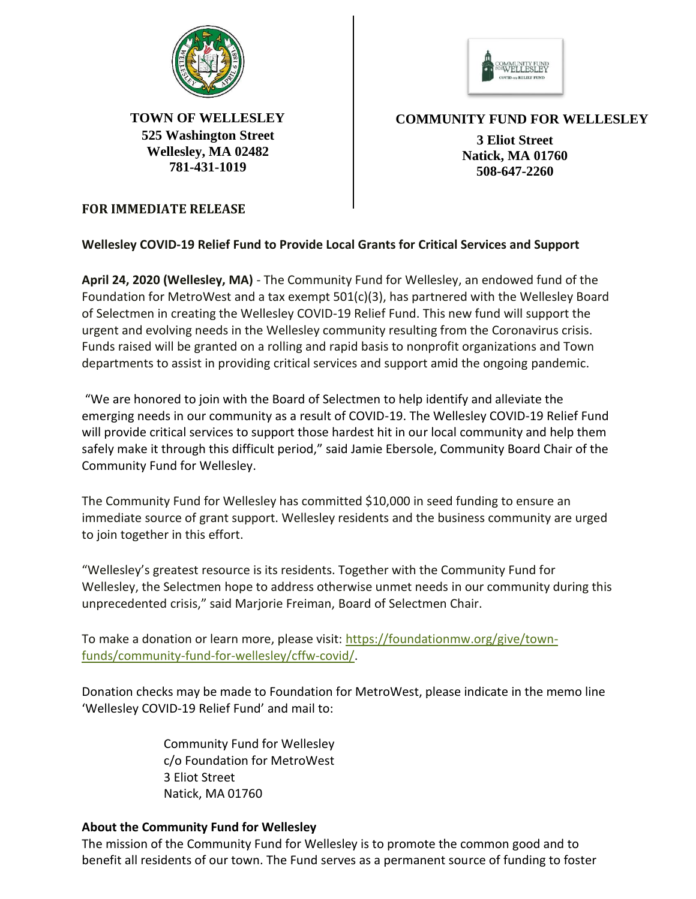



**525 Washington Street Wellesley, MA 02482 781-431-1019**

**TOWN OF WELLESLEY COMMUNITY FUND FOR WELLESLEY**

**3 Eliot Street Natick, MA 01760 508-647-2260**

## **FOR IMMEDIATE RELEASE**

## **Wellesley COVID-19 Relief Fund to Provide Local Grants for Critical Services and Support**

**April 24, 2020 (Wellesley, MA)** - The Community Fund for Wellesley, an endowed fund of the Foundation for MetroWest and a tax exempt  $501(c)(3)$ , has partnered with the Wellesley Board of Selectmen in creating the Wellesley COVID-19 Relief Fund. This new fund will support the urgent and evolving needs in the Wellesley community resulting from the Coronavirus crisis. Funds raised will be granted on a rolling and rapid basis to nonprofit organizations and Town departments to assist in providing critical services and support amid the ongoing pandemic.

"We are honored to join with the Board of Selectmen to help identify and alleviate the emerging needs in our community as a result of COVID-19. The Wellesley COVID-19 Relief Fund will provide critical services to support those hardest hit in our local community and help them safely make it through this difficult period," said Jamie Ebersole, Community Board Chair of the Community Fund for Wellesley.

The Community Fund for Wellesley has committed \$10,000 in seed funding to ensure an immediate source of grant support. Wellesley residents and the business community are urged to join together in this effort.

"Wellesley's greatest resource is its residents. Together with the Community Fund for Wellesley, the Selectmen hope to address otherwise unmet needs in our community during this unprecedented crisis," said Marjorie Freiman, Board of Selectmen Chair.

To make a donation or learn more, please visit: [https://foundationmw.org/give/town](https://foundationmw.org/give/town-funds/community-fund-for-wellesley/cffw-covid/)[funds/community-fund-for-wellesley/cffw-covid/.](https://foundationmw.org/give/town-funds/community-fund-for-wellesley/cffw-covid/)

Donation checks may be made to Foundation for MetroWest, please indicate in the memo line 'Wellesley COVID-19 Relief Fund' and mail to:

> Community Fund for Wellesley c/o Foundation for MetroWest 3 Eliot Street Natick, MA 01760

## **About the Community Fund for Wellesley**

The mission of the Community Fund for Wellesley is to promote the common good and to benefit all residents of our town. The Fund serves as a permanent source of funding to foster